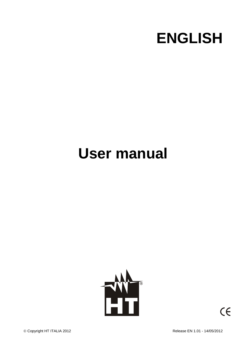

# **User manual**



© Copyright HT ITALIA 2012 2001 2002 2008 2012 2012

 $\epsilon$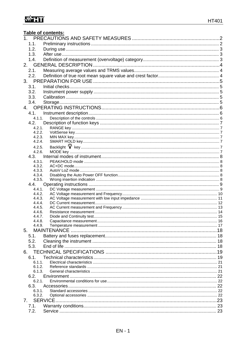# WHI

|                  | Table of contents: |  |
|------------------|--------------------|--|
|                  |                    |  |
| 1.1.             |                    |  |
| 1.2.             |                    |  |
| 1.3.             |                    |  |
| 1.4.             |                    |  |
| 2.               |                    |  |
| 2.1.             |                    |  |
| 2.2.             |                    |  |
|                  |                    |  |
| 3.1.             |                    |  |
| 3.2.             |                    |  |
| 3.3.             |                    |  |
| 3.4.             |                    |  |
|                  |                    |  |
| 4.1.             |                    |  |
| 4.1.1.           |                    |  |
| 4.2.             |                    |  |
| 4.2.1.           |                    |  |
| 4.2.2.           |                    |  |
| 4.2.3.           |                    |  |
| 4.2.4.           |                    |  |
| 4.2.5.           |                    |  |
| 4.2.6.           |                    |  |
|                  |                    |  |
| 4.3.1.           |                    |  |
| 4.3.2.<br>4.3.3. |                    |  |
| 4.3.4.           |                    |  |
| 4.3.5.           |                    |  |
| 4.4.             |                    |  |
| 4.4.1.           |                    |  |
| 4.4.2.           |                    |  |
| 4.4.3.           |                    |  |
| 4.4.4.<br>4.4.5. |                    |  |
| 4.4.6.           |                    |  |
| 4.4.7.           |                    |  |
| 4.4.8.           |                    |  |
| 4.4.9.           |                    |  |
| 5.               |                    |  |
| 5.1.             |                    |  |
| 5.2.             |                    |  |
| 5.3.             |                    |  |
| 6.               |                    |  |
| 6.1.             |                    |  |
| 6.1.1.           |                    |  |
| 6.1.2.           |                    |  |
| 6.1.3.           |                    |  |
| 6.2.             |                    |  |
| 6.2.1.           |                    |  |
| 6.3.<br>6.3.1.   |                    |  |
| 6.3.2.           |                    |  |
| 7.               |                    |  |
| 7.1.             |                    |  |
| 7.2.             |                    |  |
|                  |                    |  |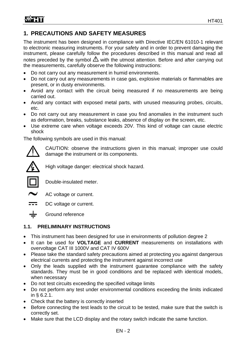# **1. PRECAUTIONS AND SAFETY MEASURES**

The instrument has been designed in compliance with Directive IEC/EN 61010-1 relevant to electronic measuring instruments. For your safety and in order to prevent damaging the instrument, please carefully follow the procedures described in this manual and read all notes preceded by the symbol  $\triangle$  with the utmost attention. Before and after carrying out the measurements, carefully observe the following instructions:

- Do not carry out any measurement in humid environments.
- Do not carry out any measurements in case gas, explosive materials or flammables are present, or in dusty environments.
- Avoid any contact with the circuit being measured if no measurements are being carried out.
- Avoid any contact with exposed metal parts, with unused measuring probes, circuits, etc.
- Do not carry out any measurement in case you find anomalies in the instrument such as deformation, breaks, substance leaks, absence of display on the screen, etc.
- Use extreme care when voltage exceeds 20V. This kind of voltage can cause electric shock

The following symbols are used in this manual:



CAUTION: observe the instructions given in this manual; improper use could damage the instrument or its components.



High voltage danger: electrical shock hazard.



Double-insulated meter.



AC voltage or current.





# **1.1. PRELIMINARY INSTRUCTIONS**

- This instrument has been designed for use in environments of pollution degree 2
- It can be used for **VOLTAGE** and **CURRENT** measurements on installations with overvoltage CAT III 1000V and CAT IV 600V
- Please take the standard safety precautions aimed at protecting you against dangerous electrical currents and protecting the instrument against incorrect use
- Only the leads supplied with the instrument guarantee compliance with the safety standards. They must be in good conditions and be replaced with identical models, when necessary
- Do not test circuits exceeding the specified voltage limits
- Do not perform any test under environmental conditions exceeding the limits indicated in § 6.2.1.
- Check that the battery is correctly inserted
- Before connecting the test leads to the circuit to be tested, make sure that the switch is correctly set.
- Make sure that the LCD display and the rotary switch indicate the same function.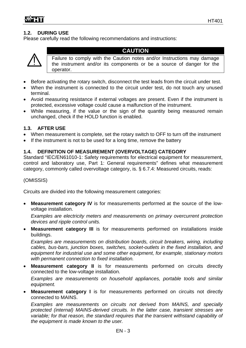# **1.2. DURING USE**

Please carefully read the following recommendations and instructions:



# **CAUTION**

Failure to comply with the Caution notes and/or Instructions may damage the instrument and/or its components or be a source of danger for the operator.

- Before activating the rotary switch, disconnect the test leads from the circuit under test.
- When the instrument is connected to the circuit under test, do not touch any unused terminal.
- Avoid measuring resistance if external voltages are present. Even if the instrument is protected, excessive voltage could cause a malfunction of the instrument.
- While measuring, if the value or the sign of the quantity being measured remain unchanged, check if the HOLD function is enabled.

# **1.3. AFTER USE**

- When measurement is complete, set the rotary switch to OFF to turn off the instrument
- If the instrument is not to be used for a long time, remove the battery

# **1.4. DEFINITION OF MEASUREMENT (OVERVOLTAGE) CATEGORY**

Standard "IEC/EN61010-1: Safety requirements for electrical equipment for measurement, control and laboratory use, Part 1: General requirements" defines what measurement category, commonly called overvoltage category, is. § 6.7.4: Measured circuits, reads:

#### (OMISSIS)

Circuits are divided into the following measurement categories:

 **Measurement category IV** is for measurements performed at the source of the lowvoltage installation.

*Examples are electricity meters and measurements on primary overcurrent protection devices and ripple control units.* 

 **Measurement category III** is for measurements performed on installations inside buildings.

*Examples are measurements on distribution boards, circuit breakers, wiring, including cables, bus-bars, junction boxes, switches, socket-outlets in the fixed installation, and equipment for industrial use and some other equipment, for example, stationary motors with permanent connection to fixed installation.* 

 **Measurement category II** is for measurements performed on circuits directly connected to the low-voltage installation.

*Examples are measurements on household appliances, portable tools and similar equipment.* 

 **Measurement category I** is for measurements performed on circuits not directly connected to MAINS.

*Examples are measurements on circuits not derived from MAINS, and specially protected (internal) MAINS-derived circuits. In the latter case, transient stresses are variable; for that reason, the standard requires that the transient withstand capability of the equipment is made known to the user.*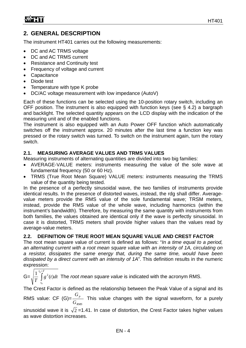# **2. GENERAL DESCRIPTION**

The instrument HT401 carries out the following measurements:

- DC and AC TRMS voltage
- DC and AC TRMS current
- Resistance and Continuity test
- Frequency of voltage and current
- Capacitance
- Diode test
- Temperature with type K probe
- DC/AC voltage measurement with low impedance (AutoV)

Each of these functions can be selected using the 10-position rotary switch, including an OFF position. The instrument is also equipped with function keys (see § 4.2) a bargraph and backlight. The selected quantity appears on the LCD display with the indication of the measuring unit and of the enabled functions.

The instrument is also equipped with an Auto Power OFF function which automatically switches off the instrument approx. 20 minutes after the last time a function key was pressed or the rotary switch was turned. To switch on the instrument again, turn the rotary switch.

# **2.1. MEASURING AVERAGE VALUES AND TRMS VALUES**

Measuring instruments of alternating quantities are divided into two big families:

- AVERAGE-VALUE meters: instruments measuring the value of the sole wave at fundamental frequency (50 or 60 Hz).
- TRMS (True Root Mean Square) VALUE meters: instruments measuring the TRMS value of the quantity being tested.

In the presence of a perfectly sinusoidal wave, the two families of instruments provide identical results. In the presence of distorted waves, instead, the rdg shall differ. Averagevalue meters provide the RMS value of the sole fundamental wave; TRSM meters, instead, provide the RMS value of the whole wave, including harmonics (within the instrument's bandwidth). Therefore, by measuring the same quantity with instruments from both families, the values obtained are identical only if the wave is perfectly sinusoidal. In case it is distorted, TRMS meters shall provide higher values than the values read by average-value meters.

# **2.2. DEFINITION OF TRUE ROOT MEAN SQUARE VALUE AND CREST FACTOR**

The root mean square value of current is defined as follows: "*In a time equal to a period, an alternating current with a root mean square value with an intensity of 1A, circulating on a resistor, dissipates the same energy that, during the same time, would have been dissipated by a direct current with an intensity of 1A*". This definition results in the numeric expression:

 $G=\sqrt{\frac{1}{T}} \int$  $t_0 + T$ *t*  $g^2(t)dt$ *T*  $\frac{1}{\pi} \int_{0}^{t_0 + t} g^2(t) dt$  The *root mean square value* is indicated with the acronym RMS. 0

The Crest Factor is defined as the relationship between the Peak Value of a signal and its

RMS value: CF (G)= *RMS p G G* This value changes with the signal waveform, for a purely

sinusoidal wave it is  $\sqrt{2}$  =1.41. In case of distortion, the Crest Factor takes higher values as wave distortion increases.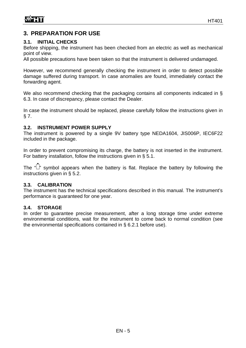# **3. PREPARATION FOR USE**

# **3.1. INITIAL CHECKS**

Before shipping, the instrument has been checked from an electric as well as mechanical point of view.

All possible precautions have been taken so that the instrument is delivered undamaged.

However, we recommend generally checking the instrument in order to detect possible damage suffered during transport. In case anomalies are found, immediately contact the forwarding agent.

We also recommend checking that the packaging contains all components indicated in § 6.3. In case of discrepancy, please contact the Dealer.

In case the instrument should be replaced, please carefully follow the instructions given in § 7.

# **3.2. INSTRUMENT POWER SUPPLY**

The instrument is powered by a single 9V battery type NEDA1604, JIS006P, IEC6F22 included in the package.

In order to prevent compromising its charge, the battery is not inserted in the instrument. For battery installation, follow the instructions given in § 5.1.

The " $\Box$ " symbol appears when the battery is flat. Replace the battery by following the instructions given in § 5.2.

# **3.3. CALIBRATION**

The instrument has the technical specifications described in this manual. The instrument's performance is guaranteed for one year.

#### **3.4. STORAGE**

In order to guarantee precise measurement, after a long storage time under extreme environmental conditions, wait for the instrument to come back to normal condition (see the environmental specifications contained in § 6.2.1 before use).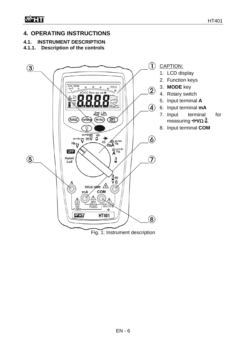# **4. OPERATING INSTRUCTIONS**

# **4.1. INSTRUMENT DESCRIPTION**

# **4.1.1. Description of the controls**

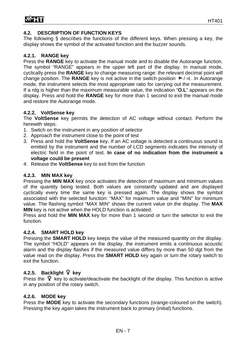# **4.2. DESCRIPTION OF FUNCTION KEYS**

The following § describes the functions of the different keys. When pressing a key, the display shows the symbol of the activated function and the buzzer sounds.

# **4.2.1. RANGE key**

Press the **RANGE** key to activate the manual mode and to disable the Autorange function. The symbol "RANGE" appears in the upper left part of the display. In manual mode, cyclically press the **RANGE** key to change measuring range: the relevant decimal point will change position. The **RANGE** key is not active in the switch position  $\mathbb{H}/\mathfrak{m}$ . In Autorange mode, the instrument selects the most appropriate ratio for carrying out the measurement. If a rdg is higher than the maximum measurable value, the indication "**O.L**" appears on the display. Press and hold the **RANGE** key for more than 1 second to exit the manual mode and restore the Autorange mode.

# **4.2.2. VoltSense key**

The **VoltSense** key permits the detection of AC voltage without contact. Perform the herewith steps:

- 1. Switch on the instrument in any position of selector
- 2. Approach the instrument close to the point of test
- 3. Press and hold the **VoltSense** key. If an AC voltage is detected a continuous sound is emitted by the instrument and the number of LCD segments indicates the intensity of electric field in the point of test. **In case of no indication from the instrument a voltage could be present**
- 4. Release the **VoltSense** key to exit from the function

#### **4.2.3. MIN MAX key**

Pressing the **MIN MAX** key once activates the detection of maximum and minimum values of the quantity being tested. Both values are constantly updated and are displayed cyclically every time the same key is pressed again. The display shows the symbol associated with the selected function: "MAX" for maximum value and "MIN" for minimum value. The flashing symbol "MAX MIN" shows the current value on the display. The **MAX MIN** key is not active when the HOLD function is activated.

Press and hold the **MIN MAX** key for more than 1 second or turn the selector to exit the function.

#### **4.2.4. SMART HOLD key**

Pressing the **SMART HOLD** key keeps the value of the measured quantity on the display. The symbol "HOLD" appears on the display, the instrument emits a continuous acoustic alarm and the display flashes if the measured value differs by more than 50 dgt from the value read on the display. Press the **SMART HOLD** key again or turn the rotary switch to exit the function.

# 4.2.5. Backlight  $\hat{Y}$  key

Press the  $\hat{Y}$  key to activate/deactivate the backlight of the display. This function is active in any position of the rotary switch.

# **4.2.6. MODE key**

Press the **MODE** key to activate the secondary functions (orange-coloured on the switch). Pressing the key again takes the instrument back to primary (initial) functions.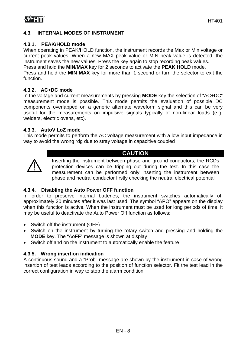# **4.3. INTERNAL MODES OF INSTRUMENT**

# **4.3.1. PEAK/HOLD mode**

When operating in PEAK/HOLD function, the instrument records the Max or Min voltage or current peak values. When a new MAX peak value or MIN peak value is detected, the instrument saves the new values. Press the key again to stop recording peak values.

Press and hold the **MIN/MAX** key for 2 seconds to activate the **PEAK HOLD** mode.

Press and hold the **MIN MAX** key for more than 1 second or turn the selector to exit the function.

# **4.3.2. AC+DC mode**

In the voltage and current measurements by pressing **MODE** key the selection of "AC+DC" measurement mode is possible. This mode permits the evaluation of possible DC components overlapped on a generic alternate waveform signal and this can be very useful for the measurements on impulsive signals typically of non-linear loads (e.g: welders, electric ovens, etc).

# **4.3.3. AutoV LoZ mode**

This mode permits to perform the AC voltage measurement with a low input impedance in way to avoid the wrong rdg due to stray voltage in capacitive coupled



**CAUTION** 

Inserting the instrument between phase and ground conductors, the RCDs protection devices can be tripping out during the test. In this case the measurement can be performed only inserting the instrument between phase and neutral conductor firstly checking the neutral electrical potential

# **4.3.4. Disabling the Auto Power OFF function**

In order to preserve internal batteries, the instrument switches automatically off approximately 20 minutes after it was last used. The symbol "APO" appears on the display when this function is active. When the instrument must be used for long periods of time, it may be useful to deactivate the Auto Power Off function as follows:

- Switch off the instrument (OFF)
- Switch on the instrument by turning the rotary switch and pressing and holding the **MODE** key. The "AoFF" message is shown at display
- Switch off and on the instrument to automatically enable the feature

# **4.3.5. Wrong insertion indication**

A continuous sound and a "Prob" message are shown by the instrument in case of wrong insertion of test leads according to the position of function selector. Fit the test lead in the correct configuration in way to stop the alarm condition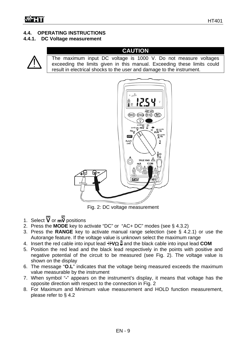# **4.4. OPERATING INSTRUCTIONS**

# **4.4.1. DC Voltage measurement**



# **CAUTION**

The maximum input DC voltage is 1000 V. Do not measure voltages exceeding the limits given in this manual. Exceeding these limits could result in electrical shocks to the user and damage to the instrument.



Fig. 2: DC voltage measurement

- 1. Select  $\overline{\mathbf{V}}$  or  $\overline{\mathbf{w}}$  positions
- 2. Press the **MODE** key to activate "DC" or "AC+ DC" modes (see § 4.3.2)
- 3. Press the **RANGE** key to activate manual range selection (see § 4.2.1) or use the Autorange feature. If the voltage value is unknown select the maximum range
- 4. Insert the red cable into input lead  $\frac{1}{2}$  and the black cable into input lead **COM**
- 5. Position the red lead and the black lead respectively in the points with positive and negative potential of the circuit to be measured (see Fig. 2). The voltage value is shown on the display
- 6. The message "**O.L**" indicates that the voltage being measured exceeds the maximum value measurable by the instrument
- 7. When symbol "**-**" appears on the instrument's display, it means that voltage has the opposite direction with respect to the connection in Fig. 2
- 8. For Maximum and Minimum value measurement and HOLD function measurement, please refer to § 4.2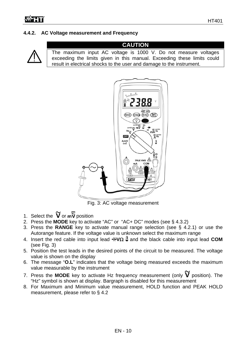# **4.4.2. AC Voltage measurement and Frequency**



# **CAUTION**  The maximum input AC voltage is 1000 V. Do not measure voltages exceeding the limits given in this manual. Exceeding these limits could result in electrical shocks to the user and damage to the instrument.



Fig. 3: AC voltage measurement

- 1. Select the  $\widetilde{V}$  or  $\overline{\widetilde{W}}$  position
- 2. Press the **MODE** key to activate "AC" or "AC+ DC" modes (see § 4.3.2)
- 3. Press the **RANGE** key to activate manual range selection (see § 4.2.1) or use the Autorange feature. If the voltage value is unknown select the maximum range
- 4. Insert the red cable into input lead  $\frac{1}{2}$  and the black cable into input lead **COM** (see Fig. 3)
- 5. Position the test leads in the desired points of the circuit to be measured. The voltage value is shown on the display
- 6. The message "**O.L**" indicates that the voltage being measured exceeds the maximum value measurable by the instrument
- 7. Press the **MODE** key to activate Hz frequency measurement (only  $\widetilde{V}$  position). The "Hz" symbol is shown at display. Bargraph is disabled for this measurement
- 8. For Maximum and Minimum value measurement, HOLD function and PEAK HOLD measurement, please refer to § 4.2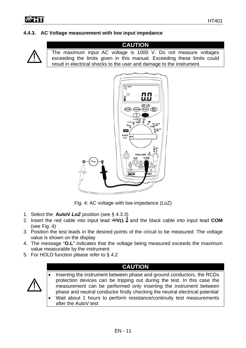# **4.4.3. AC Voltage measurement with low input impedance**



# **CAUTION**  The maximum input AC voltage is 1000 V. Do not measure voltages exceeding the limits given in this manual. Exceeding these limits could result in electrical shocks to the user and damage to the instrument.



Fig. 4: AC voltage with low impedance (LoZ)

- 1. Select the **AutoV** *LoZ* position (see § 4.3.3)
- 2. Insert the red cable into input lead  $\frac{1}{\sqrt{2}} \theta$  and the black cable into input lead **COM** (see Fig. 4)
- 3. Position the test leads in the desired points of the circuit to be measured. The voltage value is shown on the display
- 4. The message "**O.L**" indicates that the voltage being measured exceeds the maximum value measurable by the instrument
- 5. For HOLD function please refer to § 4.2

# **CAUTION**

- Inserting the instrument between phase and ground conductors, the RCDs protection devices can be tripping out during the test. In this case the measurement can be performed only inserting the instrument between phase and neutral conductor firstly checking the neutral electrical potential
	- Wait about 1 hours to perform resistance/continuity test measurements after the AutoV test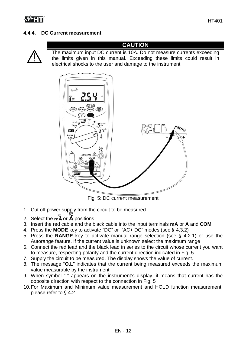# **4.4.4. DC Current measurement**



# **CAUTION**

The maximum input DC current is 10A. Do not measure currents exceeding the limits given in this manual. Exceeding these limits could result in electrical shocks to the user and damage to the instrument



Fig. 5: DC current measurement

- 1. Cut off power supply from the circuit to be measured.
- 2. Select the  $m\widetilde{A}$  or  $\widetilde{A}$  positions
- 3. Insert the red cable and the black cable into the input terminals **mA** or **A** and **COM**
- 4. Press the **MODE** key to activate "DC" or "AC+ DC" modes (see § 4.3.2)
- 5. Press the **RANGE** key to activate manual range selection (see § 4.2.1) or use the Autorange feature. If the current value is unknown select the maximum range
- 6. Connect the red lead and the black lead in series to the circuit whose current you want to measure, respecting polarity and the current direction indicated in Fig. 5
- 7. Supply the circuit to be measured. The display shows the value of current.
- 8. The message "**O.L**" indicates that the current being measured exceeds the maximum value measurable by the instrument
- 9. When symbol "**-**" appears on the instrument's display, it means that current has the opposite direction with respect to the connection in Fig. 5
- 10. For Maximum and Minimum value measurement and HOLD function measurement, please refer to § 4.2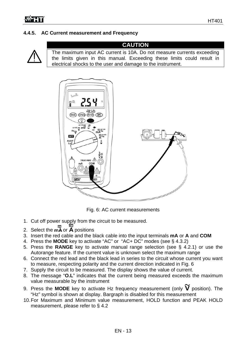# **4.4.5. AC Current measurement and Frequency**



The maximum input AC current is 10A. Do not measure currents exceeding the limits given in this manual. Exceeding these limits could result in electrical shocks to the user and damage to the instrument.



Fig. 6: AC current measurements

- 1. Cut off power supply from the circuit to be measured.
- 2. Select the  $m\widetilde{A}$  or  $\widetilde{A}$  positions
- 3. Insert the red cable and the black cable into the input terminals **mA** or **A** and **COM**
- 4. Press the **MODE** key to activate "AC" or "AC+ DC" modes (see § 4.3.2)
- 5. Press the **RANGE** key to activate manual range selection (see § 4.2.1) or use the Autorange feature. If the current value is unknown select the maximum range
- 6. Connect the red lead and the black lead in series to the circuit whose current you want to measure, respecting polarity and the current direction indicated in Fig. 6
- 7. Supply the circuit to be measured. The display shows the value of current.
- 8. The message "**O.L**" indicates that the current being measured exceeds the maximum value measurable by the instrument
- 9. Press the **MODE** key to activate Hz frequency measurement (only  $\widetilde{V}$  position). The "Hz" symbol is shown at display. Bargraph is disabled for this measurement
- 10. For Maximum and Minimum value measurement, HOLD function and PEAK HOLD measurement, please refer to § 4.2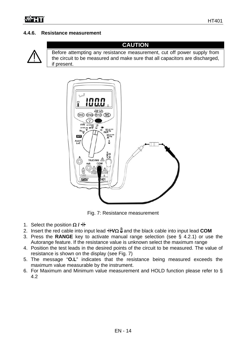# **4.4.6. Resistance measurement**



# **CAUTION**

Before attempting any resistance measurement, cut off power supply from the circuit to be measured and make sure that all capacitors are discharged, if present.



Fig. 7: Resistance measurement

- 1. Select the position  $\Omega$  /  $\dagger$
- 2. Insert the red cable into input lead  $\frac{1}{\sqrt{2}}$  and the black cable into input lead **COM**
- 3. Press the **RANGE** key to activate manual range selection (see § 4.2.1) or use the Autorange feature. If the resistance value is unknown select the maximum range
- 4. Position the test leads in the desired points of the circuit to be measured. The value of resistance is shown on the display (see Fig. 7)
- 5. The message "**O.L**" indicates that the resistance being measured exceeds the maximum value measurable by the instrument.
- 6. For Maximum and Minimum value measurement and HOLD function please refer to § 4.2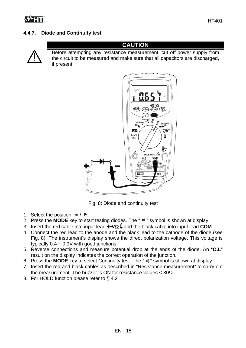# **4.4.7. Diode and Continuity test**



**CAUTION**  Before attempting any resistance measurement, cut off power supply from the circuit to be measured and make sure that all capacitors are discharged, if present.



Fig. 8: Diode and continuity test

- 1. Select the position  $\cdot$ **)** /  $\cdot$ **)**
- 2. Press the **MODE** key to start testing diodes. The " " symbol is shown at display
- 3. Insert the red cable into input lead  $\frac{1}{2}$  and the black cable into input lead **COM**
- 4. Connect the red lead to the anode and the black lead to the cathode of the diode (see Fig. 8). The instrument's display shows the direct polarization voltage. This voltage is typically  $0.4 \sim 0.9V$  with good junctions.
- 5. Reverse connections and measure potential drop at the ends of the diode. An "**O.L**" result on the display indicates the correct operation of the junction.
- 6. Press the MODE key to select Continuity test. The "  $\cdot$  " symbol is shown at display
- 7. Insert the red and black cables as described in "Resistance measurement" to carry out the measurement. The buzzer is ON for resistance values  $<$  30 $\Omega$
- 8. For HOLD function please refer to § 4.2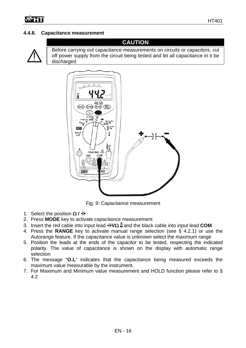# **4.4.8. Capacitance measurement**



Before carrying out capacitance measurements on circuits or capacitors, cut off power supply from the circuit being tested and let all capacitance in it be discharged

**CAUTION** 



Fig. 9: Capacitance measurement

- 1. Select the position  $\Omega / H$
- 2. Press **MODE** key to activate capacitance measurement
- 3. Insert the red cable into input lead  $\frac{1}{2}$  and the black cable into input lead **COM**
- 4. Press the **RANGE** key to activate manual range selection (see § 4.2.1) or use the Autorange feature. If the capacitance value is unknown select the maximum range
- 5. Position the leads at the ends of the capacitor to be tested, respecting the indicated polarity. The value of capacitance is shown on the display with automatic range selection
- 6. The message "**O.L**" indicates that the capacitance being measured exceeds the maximum value measurable by the instrument.
- 7. For Maximum and Minimum value measurement and HOLD function please refer to § 4.2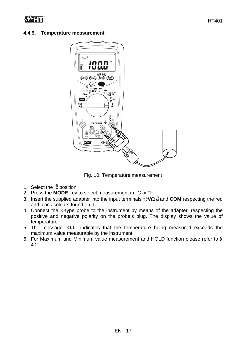#### **4.4.9. Temperature measurement**



Fig. 10: Temperature measurement

- 1. Select the  $\frac{1}{2}$  position
- 2. Press the **MODE** key to select measurement in °C or °F
- 3. Insert the supplied adapter into the input terminals  $\frac{1}{\sqrt{2}}$  and **COM** respecting the red and black colours found on it.
- 4. Connect the K-type probe to the instrument by means of the adapter, respecting the positive and negative polarity on the probe's plug. The display shows the value of temperature
- 5. The message "**O.L**" indicates that the temperature being measured exceeds the maximum value measurable by the instrument
- 6. For Maximum and Minimum value measurement and HOLD function please refer to § 4.2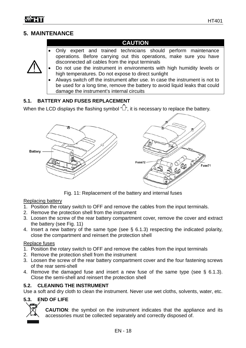# **5. MAINTENANCE**

# **CAUTION**

- Only expert and trained technicians should perform maintenance operations. Before carrying out this operations, make sure you have disconnected all cables from the input terminals
- Do not use the instrument in environments with high humidity levels or high temperatures. Do not expose to direct sunlight
	- Always switch off the instrument after use. In case the instrument is not to be used for a long time, remove the battery to avoid liquid leaks that could damage the instrument's internal circuits

# **5.1. BATTERY AND FUSES REPLACEMENT**

When the LCD displays the flashing symbol  $\widehat{w}$ , it is necessary to replace the battery.



Fig. 11: Replacement of the battery and internal fuses

#### Replacing battery

- 1. Position the rotary switch to OFF and remove the cables from the input terminals.
- 2. Remove the protection shell from the instrument
- 3. Loosen the screw of the rear battery compartment cover, remove the cover and extract the battery (see Fig. 11)
- 4. Insert a new battery of the same type (see § 6.1.3) respecting the indicated polarity, close the compartment and reinsert the protection shell

#### Replace fuses

- 1. Position the rotary switch to OFF and remove the cables from the input terminals
- 2. Remove the protection shell from the instrument
- 3. Loosen the screw of the rear battery compartment cover and the four fastening screws of the rear semi-shell
- 4. Remove the damaged fuse and insert a new fuse of the same type (see § 6.1.3). Close the semi-shell and reinsert the protection shell

# **5.2. CLEANING THE INSTRUMENT**

Use a soft and dry cloth to clean the instrument. Never use wet cloths, solvents, water, etc.

# **5.3. END OF LIFE**



**CAUTION**: the symbol on the instrument indicates that the appliance and its accessories must be collected separately and correctly disposed of.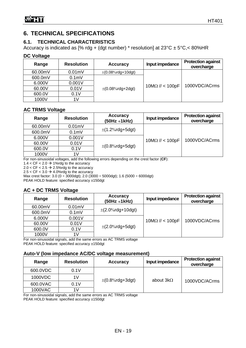# **6. TECHNICAL SPECIFICATIONS**

# **6.1. TECHNICAL CHARACTERISTICS**

Accuracy is indicated as [% rdg + (dgt number) \* resolution] at  $23^{\circ}$ C  $\pm$  5°C, < 80%HR

#### **DC Voltage**

| Range   | <b>Resolution</b> | <b>Accuracy</b>          | Input impedance                        | <b>Protection against</b><br>overcharge |
|---------|-------------------|--------------------------|----------------------------------------|-----------------------------------------|
| 60.00mV | $0.01$ m $V$      | $\pm (0.08\%$ rdg+10dgt) |                                        |                                         |
| 600.0mV | 0.1 <sub>m</sub>  |                          |                                        |                                         |
| 6.000V  | 0.001V            |                          |                                        |                                         |
| 60.00V  | 0.01V             | $\pm (0.08\%$ rdg+2dgt)  | $10\text{M}\Omega$ // < $100\text{pF}$ | 1000VDC/ACrms                           |
| 600.0V  | 0.1V              |                          |                                        |                                         |
| 1000V   | 1V                |                          |                                        |                                         |

# **AC TRMS Voltage**

| Range   | <b>Resolution</b> | <b>Accuracy</b><br>$(50Hz \div 1kHz)$ | Input impedance                        | <b>Protection against</b><br>overcharge |
|---------|-------------------|---------------------------------------|----------------------------------------|-----------------------------------------|
| 60.00mV | $0.01$ m $V$      |                                       |                                        |                                         |
| 600.0mV | 0.1 <sub>m</sub>  | $\pm$ (1.2%rdg+5dgt)                  |                                        |                                         |
| 6.000V  | 0.001V            |                                       | $10\text{M}\Omega$ // < $100\text{pF}$ | 1000VDC/ACrms                           |
| 60.00V  | 0.01V             |                                       |                                        |                                         |
| 600.0V  | 0.1V              | $\pm (0.8\%$ rdg+5dgt)                |                                        |                                         |
| 1000V   | 1V                |                                       |                                        |                                         |

For non-sinusoidal voltages, add the following errors depending on the crest factor (**CF**):

1.4  $<$  CF  $<$  2.0  $\rightarrow$  1%rdg to the accuracy

2.0 <  $CF$  < 2.5  $\rightarrow$  2.5%rdg to the accuracy

2.5  $<$  CF  $<$  3.0  $\rightarrow$  4.0%rdg to the accuracy

Max crest factor: 3.0 (0 ÷ 3000dgt); 2.0 (3000 ÷ 5000dgt); 1.6 (5000 ÷ 6000dgt)

PEAK HOLD feature: specified accuracy ±150dgt

# **AC + DC TRMS Voltage**

| Range      | <b>Resolution</b> | <b>Accuracy</b><br>$(50Hz \div 1kHz)$ | Input impedance                        | <b>Protection against</b><br>overcharge |
|------------|-------------------|---------------------------------------|----------------------------------------|-----------------------------------------|
| 60.00mV    | $0.01$ m $V$      |                                       |                                        |                                         |
| 600.0mV    | 0.1 <sub>m</sub>  | $\pm$ (2.0%rdg+10dgt)                 |                                        |                                         |
| 6.000V     | 0.001V            |                                       | $10\text{M}\Omega$ // < $100\text{pF}$ | 1000VDC/ACrms                           |
| 60.00V     | 0.01V             |                                       |                                        |                                         |
| 600.0V     | 0.1V              | $\pm$ (2.0%rdg+5dgt)                  |                                        |                                         |
| 1000V<br>. | 1V<br>.           | 10777110                              |                                        |                                         |

For non-sinusoidal signals, add the same errors as AC TRMS voltage PEAK HOLD feature: specified accuracy ±150dgt

#### **Auto-V (low impedance AC/DC voltage measurement)**

| Range    | <b>Resolution</b> | <b>Accuracy</b>        | Input impedance  | <b>Protection against</b><br>overcharge |
|----------|-------------------|------------------------|------------------|-----------------------------------------|
| 600.0VDC | 0.1V              |                        |                  |                                         |
| 1000VDC  | 1V                | $\pm (0.8\%$ rdg+3dgt) | about $3k\Omega$ |                                         |
| 600.0VAC | 0.1V              |                        |                  | 1000VDC/ACrms                           |
| 1000VAC  | 1V                |                        |                  |                                         |

For non-sinusoidal signals, add the same errors as AC TRMS voltage PEAK HOLD feature: specified accuracy ±150dgt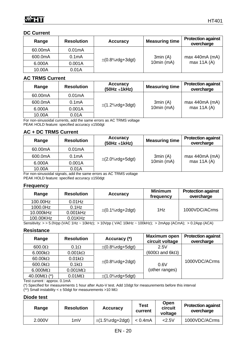# **DC Current**

| Range   | <b>Resolution</b>  | <b>Accuracy</b>        | <b>Measuring time</b> | <b>Protection against</b><br>overcharge |
|---------|--------------------|------------------------|-----------------------|-----------------------------------------|
| 60.00mA | 0.01mA             |                        |                       |                                         |
| 600.0mA | 0.1 <sub>m</sub> A | $\pm (0.8\%$ rdg+3dgt) | 3min(A)               | max 440mA (mA)                          |
| 6.000A  | 0.001A             |                        | $10min$ (mA)          | max 11A (A)                             |
| 10.00A  | 0.01A              |                        |                       |                                         |

#### **AC TRMS Current**

| Range   | <b>Resolution</b>  | <b>Accuracy</b><br>$(50Hz \div 1kHz)$ | <b>Measuring time</b> | <b>Protection against</b><br>overcharge |
|---------|--------------------|---------------------------------------|-----------------------|-----------------------------------------|
| 60.00mA | 0.01mA             |                                       |                       |                                         |
| 600.0mA | 0.1 <sub>m</sub> A | $\pm$ (1.2%rdg+3dgt)                  | 3min(A)               | max 440mA (mA)                          |
| 6.000A  | 0.001A             |                                       | 10 $min$ ( $mA$ )     | max 11A (A)                             |
| 10.00A  | 0.01A              |                                       |                       |                                         |

For non-sinusoidal currents, add the same errors as AC TRMS voltage PEAK HOLD feature: specified accuracy ±150dgt

# **AC + DC TRMS Current**

| Range   | <b>Resolution</b>  | <b>Accuracy</b><br>$(50Hz \div 1kHz)$                                                          | <b>Measuring time</b> | <b>Protection against</b><br>overcharge |
|---------|--------------------|------------------------------------------------------------------------------------------------|-----------------------|-----------------------------------------|
| 60.00mA | 0.01mA             |                                                                                                |                       |                                         |
| 600.0mA | 0.1 <sub>m</sub> A | $\pm$ (2.0%rdg+5dgt)                                                                           | 3min(A)               | max 440mA (mA)                          |
| 6.000A  | 0.001A             |                                                                                                | 10min (mA)            | max 11A (A)                             |
| 10.00A  | 0.01A              | $\Gamma_{\text{out,max}}$ siguraridal signals, add the same sugges as $\Lambda$ C TDMC usitage |                       |                                         |

For non-sinusoidal signals, add the same errors as AC TRMS voltage PEAK HOLD feature: specified accuracy ±150dgt

#### **Frequency**

| Range     | <b>Resolution</b> | <b>Accuracy</b>                         | <b>Minimum</b><br>frequency | <b>Protection against</b><br>overcharge |
|-----------|-------------------|-----------------------------------------|-----------------------------|-----------------------------------------|
| 100.00Hz  | $0.01$ Hz         |                                         |                             |                                         |
| 1000.0Hz  | $0.1$ Hz          |                                         | 1Hz                         | 1000VDC/ACrms                           |
| 10.000kHz | $0.001$ kHz       | $\pm (0.1\% \text{rdg} + 2 \text{dgt})$ |                             |                                         |
| 100.00KHz | $0.01$ KHz        |                                         |                             |                                         |

Sensitivity: > > 5.0Vpp (VAC 1Hz ~ 10kHz); > 10Vpp ( VAC 10kHz ~ 100kHz); > 2mApp (ACmA); > 0.2App (ACA)

#### **Resistance**

| Range               | <b>Resolution</b> | Accuracy (*)           | <b>Maximum open</b><br>circuit voltage | <b>Protection against</b><br>overcharge |
|---------------------|-------------------|------------------------|----------------------------------------|-----------------------------------------|
| $600.0\Omega$       | $0.1\Omega$       | $\pm (0.8\%$ rdg+5dgt) | 2.5V                                   |                                         |
| 6.000 $k\Omega$     | $0.001k\Omega$    |                        | $(600\Omega \text{ and } 6k\Omega)$    |                                         |
| 60.00 $k\Omega$     | $0.01k\Omega$     |                        |                                        | 1000VDC/ACrms                           |
| 600.0 $k\Omega$     | $0.1k\Omega$      | $\pm (0.8\%$ rdg+2dgt) | 0.6V                                   |                                         |
| $6.000M\Omega$      | $0.001M\Omega$    |                        | (other ranges)                         |                                         |
| 40.00 $M\Omega$ (*) | $0.01M\Omega$     | $\pm$ (1.0%rdg+5dgt)   |                                        |                                         |

Test current : approx. 0.1mA

(\*) Specified for measurements 1 hour after Auto-V test. Add 10dgt for measurements before this interval

(\*\*) Small instability <  $\pm$  50dgt for measurements >10 M $\Omega$ 

#### **Diode test**

| Range  | <b>Resolution</b> | <b>Accuracy</b>      | <b>Test</b><br>current | Open<br>circuit<br>voltage | <b>Protection against</b><br>overcharge |
|--------|-------------------|----------------------|------------------------|----------------------------|-----------------------------------------|
| 2.000V | ∣mV               | $\pm$ (1.5%rdg+2dgt) | $< 0.4$ m $A$          | $<$ 2.5 $<$                | 1000VDC/ACrms                           |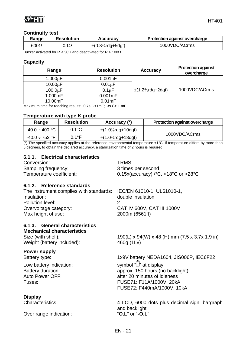| Range        | <b>Resolution</b> | <b>Accuracy</b>      | <b>Protection against overcharge</b> |
|--------------|-------------------|----------------------|--------------------------------------|
| 600 $\Omega$ | 0.1 $\Omega$      | $\pm$ (0.8%rdg+5dgt) | 1000VDC/ACrms                        |

Buzzer activated for R < 30 $\Omega$  and deactivated for R > 100 $\Omega$ 

#### **Capacity**

| Range         | <b>Resolution</b>  | <b>Accuracy</b>      | <b>Protection against</b><br>overcharge |
|---------------|--------------------|----------------------|-----------------------------------------|
| $1.000\mu F$  | $0.001 \mu F$      |                      |                                         |
| $10.00 \mu F$ | $0.01 \mu F$       |                      |                                         |
| $100.0 \mu F$ | 0.1 <sub>µ</sub> F | $\pm$ (1.2%rdg+2dgt) | 1000VDC/ACrms                           |
| 1.000mF       | $0.001$ mF         |                      |                                         |
| 10.00mF       | $0.01$ m $F$       |                      |                                         |

Maximum time for reaching results: 0.7s C<1mF; 3s C> 1 mF

#### **Temperature with type K probe**

| Range                    | <b>Resolution</b> | Accuracy (*)          | <b>Protection against overcharge</b> |  |
|--------------------------|-------------------|-----------------------|--------------------------------------|--|
| -40.0 $\div$ 400 °C $\,$ | $0.1^{\circ}$ C   | $\pm$ (1.0%rdg+10dgt) | 1000VDC/ACrms                        |  |
| -40.0 $\div$ 752 °F      | 0.1°F             | $\pm$ (1.0%rdg+18dgt) |                                      |  |

 $(*)$  The specified accuracy applies at the reference environmental temperature  $\pm 1^{\circ}$ C. If temperature differs by more than 5 degrees, to obtain the declared accuracy, a stabilization time of 2 hours is required

#### **6.1.1. Electrical characteristics**

| Conversion:              | TRMS                                                            |
|--------------------------|-----------------------------------------------------------------|
| Sampling frequency:      | 3 times per second                                              |
| Temperature coefficient: | 0.15x(accuracy) $\degree$ C, <18 $\degree$ C or >28 $\degree$ C |

#### **6.1.2. Reference standards**

| The instrument complies with standards: IEC/EN 61010-1, UL61010-1, |                            |  |
|--------------------------------------------------------------------|----------------------------|--|
| Insulation:                                                        | double insulation          |  |
| Pollution level:                                                   |                            |  |
| Overvoltage category:                                              | CAT IV 600V, CAT III 1000V |  |
| Max height of use:                                                 | 2000m (6561ft)             |  |

# **6.1.3. General characteristics**

**Mechanical characteristics** 

Weight (battery included): 460g (1Lv)

#### **Power supply**

#### **Display**

Over range indication: "**O.L**" or "**-O.L**"

Size (with shell): 190(L) x 94(W) x 48 (H) mm (7.5 x 3.7x 1.9 in)

Battery type: 1x9V battery NEDA1604, JIS006P, IEC6F22

Low battery indication:  $\mathsf{Symbol}$  " $\Box$ " at display Battery duration: approx. 150 hours (no backlight) Auto Power OFF: after 20 minutes of idleness Fuses: FUSE71: F11A/1000V, 20kA FUSE72: F440mA/1000V, 10kA

Characteristics: 4 LCD, 6000 dots plus decimal sign, bargraph and backlight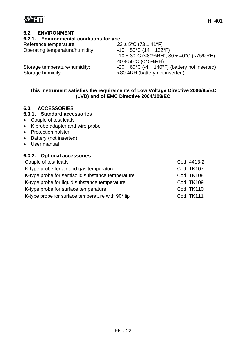# **6.2. ENVIRONMENT**

# **6.2.1. Environmental conditions for use**

Reference temperature:  $23 \pm 5^{\circ} \text{C} (73 \pm 41^{\circ} \text{F})$ 

Operating temperature/humidity:  $-10 \div 50^{\circ}C (14 \div 122^{\circ}F)$ 

Storage humidity:  $\leq 80\%RH$  (battery not inserted)

 $-10 \div 30^{\circ}$ C (<80%RH); 30  $\div 40^{\circ}$ C (<75%RH);  $40 \div 50^{\circ}$ C (<45%RH) Storage temperature/humidity:  $-20 \div 60^{\circ}C \cdot (-4 \div 140^{\circ}F)$  (battery not inserted)

# **This instrument satisfies the requirements of Low Voltage Directive 2006/95/EC (LVD) and of EMC Directive 2004/108/EC**

# **6.3. ACCESSORIES**

# **6.3.1. Standard accessories**

- Couple of test leads
- K probe adapter and wire probe
- Protection holster
- Battery (not inserted)
- User manual

# **6.3.2. Optional accessories**

| Couple of test leads                              | Cod. 4413-2       |
|---------------------------------------------------|-------------------|
| K-type probe for air and gas temperature          | <b>Cod. TK107</b> |
| K-type probe for semisolid substance temperature  | <b>Cod. TK108</b> |
| K-type probe for liquid substance temperature     | <b>Cod. TK109</b> |
| K-type probe for surface temperature              | <b>Cod. TK110</b> |
| K-type probe for surface temperature with 90° tip | <b>Cod. TK111</b> |
|                                                   |                   |